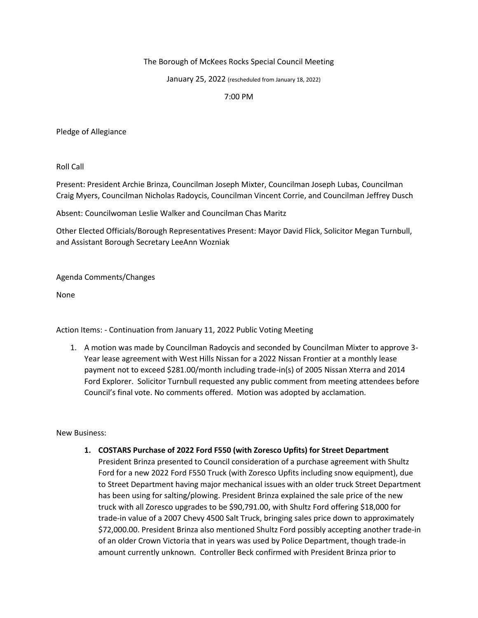## The Borough of McKees Rocks Special Council Meeting

January 25, 2022 (rescheduled from January 18, 2022)

## 7:00 PM

Pledge of Allegiance

Roll Call

Present: President Archie Brinza, Councilman Joseph Mixter, Councilman Joseph Lubas, Councilman Craig Myers, Councilman Nicholas Radoycis, Councilman Vincent Corrie, and Councilman Jeffrey Dusch

Absent: Councilwoman Leslie Walker and Councilman Chas Maritz

Other Elected Officials/Borough Representatives Present: Mayor David Flick, Solicitor Megan Turnbull, and Assistant Borough Secretary LeeAnn Wozniak

Agenda Comments/Changes

None

Action Items: - Continuation from January 11, 2022 Public Voting Meeting

1. A motion was made by Councilman Radoycis and seconded by Councilman Mixter to approve 3- Year lease agreement with West Hills Nissan for a 2022 Nissan Frontier at a monthly lease payment not to exceed \$281.00/month including trade-in(s) of 2005 Nissan Xterra and 2014 Ford Explorer. Solicitor Turnbull requested any public comment from meeting attendees before Council's final vote. No comments offered. Motion was adopted by acclamation.

New Business:

- **1. COSTARS Purchase of 2022 Ford F550 (with Zoresco Upfits) for Street Department**
	- President Brinza presented to Council consideration of a purchase agreement with Shultz Ford for a new 2022 Ford F550 Truck (with Zoresco Upfits including snow equipment), due to Street Department having major mechanical issues with an older truck Street Department has been using for salting/plowing. President Brinza explained the sale price of the new truck with all Zoresco upgrades to be \$90,791.00, with Shultz Ford offering \$18,000 for trade-in value of a 2007 Chevy 4500 Salt Truck, bringing sales price down to approximately \$72,000.00. President Brinza also mentioned Shultz Ford possibly accepting another trade-in of an older Crown Victoria that in years was used by Police Department, though trade-in amount currently unknown. Controller Beck confirmed with President Brinza prior to